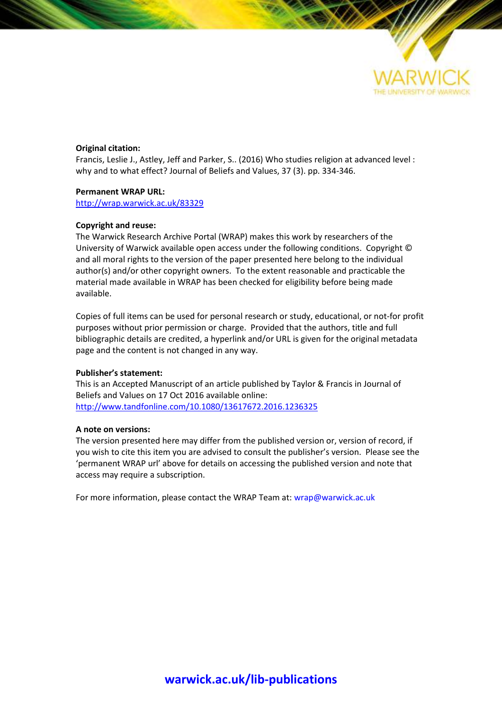

#### **Original citation:**

Francis, Leslie J., Astley, Jeff and Parker, S.. (2016) Who studies religion at advanced level : why and to what effect? Journal of Beliefs and Values, 37 (3). pp. 334-346.

#### **Permanent WRAP URL:**

<http://wrap.warwick.ac.uk/83329>

#### **Copyright and reuse:**

The Warwick Research Archive Portal (WRAP) makes this work by researchers of the University of Warwick available open access under the following conditions. Copyright © and all moral rights to the version of the paper presented here belong to the individual author(s) and/or other copyright owners. To the extent reasonable and practicable the material made available in WRAP has been checked for eligibility before being made available.

Copies of full items can be used for personal research or study, educational, or not-for profit purposes without prior permission or charge. Provided that the authors, title and full bibliographic details are credited, a hyperlink and/or URL is given for the original metadata page and the content is not changed in any way.

#### **Publisher's statement:**

This is an Accepted Manuscript of an article published by Taylor & Francis in Journal of Beliefs and Values on 17 Oct 2016 available online: <http://www.tandfonline.com/10.1080/13617672.2016.1236325>

#### **A note on versions:**

The version presented here may differ from the published version or, version of record, if you wish to cite this item you are advised to consult the publisher's version. Please see the 'permanent WRAP url' above for details on accessing the published version and note that access may require a subscription.

For more information, please contact the WRAP Team at[: wrap@warwick.ac.uk](mailto:wrap@warwick.ac.uk)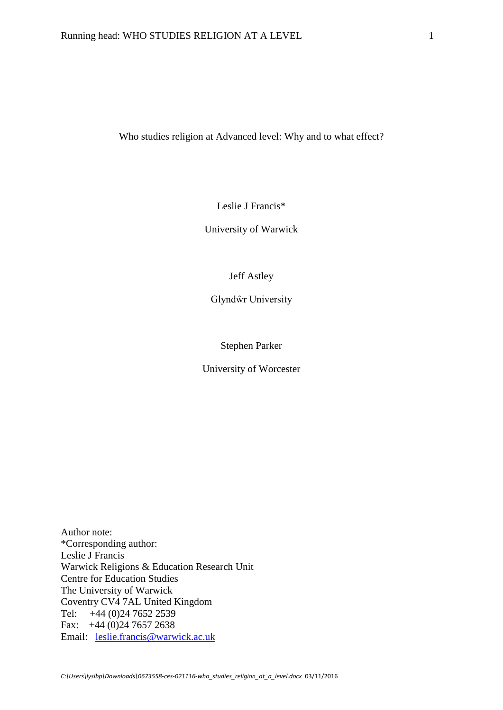Who studies religion at Advanced level: Why and to what effect?

Leslie J Francis\*

University of Warwick

Jeff Astley

Glyndŵr University

Stephen Parker

University of Worcester

Author note: \*Corresponding author: Leslie J Francis Warwick Religions & Education Research Unit Centre for Education Studies The University of Warwick Coventry CV4 7AL United Kingdom Tel: +44 (0)24 7652 2539 Fax: +44 (0)24 7657 2638 Email: [leslie.francis@warwick.ac.uk](mailto:leslie.francis@warwick.ac.uk)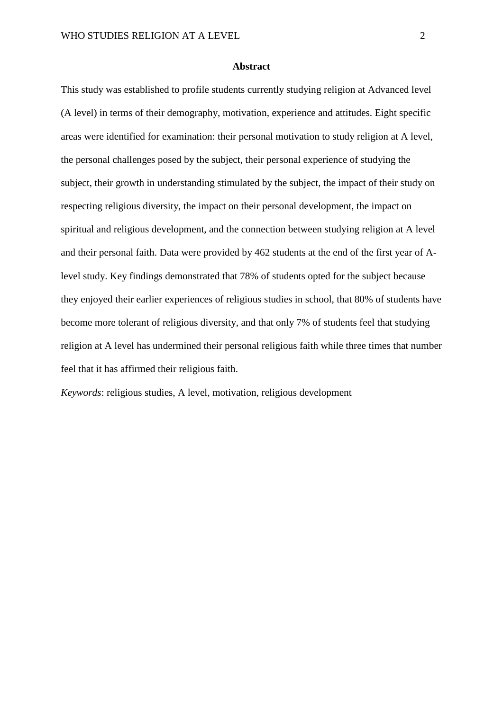#### **Abstract**

This study was established to profile students currently studying religion at Advanced level (A level) in terms of their demography, motivation, experience and attitudes. Eight specific areas were identified for examination: their personal motivation to study religion at A level, the personal challenges posed by the subject, their personal experience of studying the subject, their growth in understanding stimulated by the subject, the impact of their study on respecting religious diversity, the impact on their personal development, the impact on spiritual and religious development, and the connection between studying religion at A level and their personal faith. Data were provided by 462 students at the end of the first year of Alevel study. Key findings demonstrated that 78% of students opted for the subject because they enjoyed their earlier experiences of religious studies in school, that 80% of students have become more tolerant of religious diversity, and that only 7% of students feel that studying religion at A level has undermined their personal religious faith while three times that number feel that it has affirmed their religious faith.

*Keywords*: religious studies, A level, motivation, religious development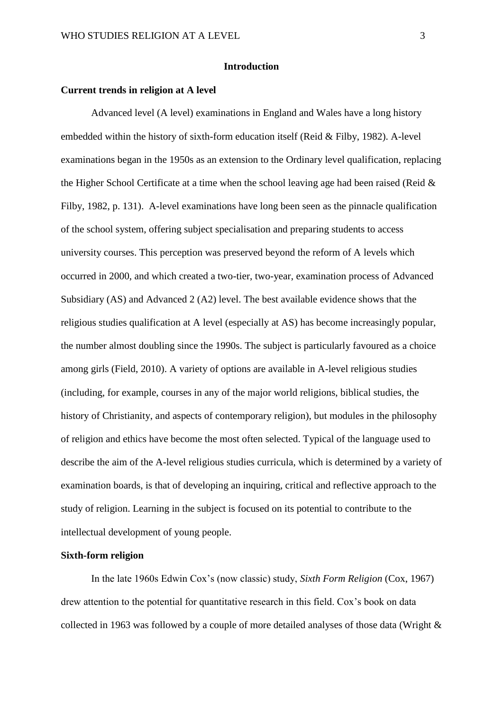#### **Introduction**

#### **Current trends in religion at A level**

Advanced level (A level) examinations in England and Wales have a long history embedded within the history of sixth-form education itself (Reid & Filby, 1982). A-level examinations began in the 1950s as an extension to the Ordinary level qualification, replacing the Higher School Certificate at a time when the school leaving age had been raised (Reid & Filby, 1982, p. 131). A-level examinations have long been seen as the pinnacle qualification of the school system, offering subject specialisation and preparing students to access university courses. This perception was preserved beyond the reform of A levels which occurred in 2000, and which created a two-tier, two-year, examination process of Advanced Subsidiary (AS) and Advanced 2 (A2) level. The best available evidence shows that the religious studies qualification at A level (especially at AS) has become increasingly popular, the number almost doubling since the 1990s. The subject is particularly favoured as a choice among girls (Field, 2010). A variety of options are available in A-level religious studies (including, for example, courses in any of the major world religions, biblical studies, the history of Christianity, and aspects of contemporary religion), but modules in the philosophy of religion and ethics have become the most often selected. Typical of the language used to describe the aim of the A-level religious studies curricula, which is determined by a variety of examination boards, is that of developing an inquiring, critical and reflective approach to the study of religion. Learning in the subject is focused on its potential to contribute to the intellectual development of young people.

#### **Sixth-form religion**

In the late 1960s Edwin Cox's (now classic) study, *Sixth Form Religion* (Cox, 1967) drew attention to the potential for quantitative research in this field. Cox's book on data collected in 1963 was followed by a couple of more detailed analyses of those data (Wright &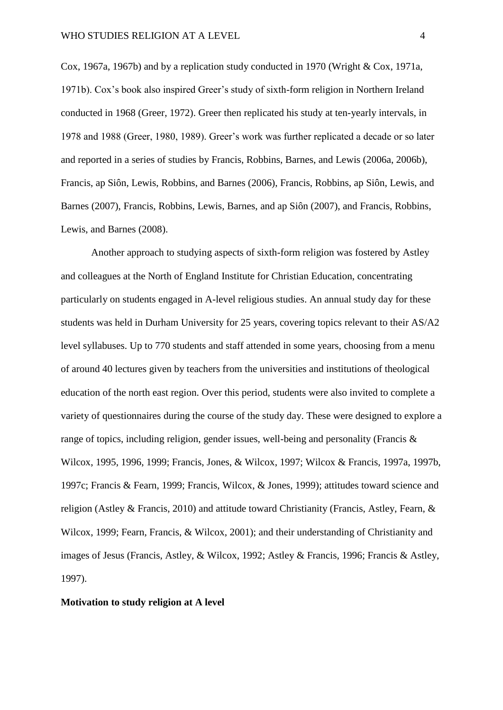Cox, 1967a, 1967b) and by a replication study conducted in 1970 (Wright & Cox, 1971a, 1971b). Cox's book also inspired Greer's study of sixth-form religion in Northern Ireland conducted in 1968 (Greer, 1972). Greer then replicated his study at ten-yearly intervals, in 1978 and 1988 (Greer, 1980, 1989). Greer's work was further replicated a decade or so later and reported in a series of studies by Francis, Robbins, Barnes, and Lewis (2006a, 2006b), Francis, ap Siôn, Lewis, Robbins, and Barnes (2006), Francis, Robbins, ap Siôn, Lewis, and Barnes (2007), Francis, Robbins, Lewis, Barnes, and ap Siôn (2007), and Francis, Robbins, Lewis, and Barnes (2008).

Another approach to studying aspects of sixth-form religion was fostered by Astley and colleagues at the North of England Institute for Christian Education, concentrating particularly on students engaged in A-level religious studies. An annual study day for these students was held in Durham University for 25 years, covering topics relevant to their AS/A2 level syllabuses. Up to 770 students and staff attended in some years, choosing from a menu of around 40 lectures given by teachers from the universities and institutions of theological education of the north east region. Over this period, students were also invited to complete a variety of questionnaires during the course of the study day. These were designed to explore a range of topics, including religion, gender issues, well-being and personality (Francis & Wilcox, 1995, 1996, 1999; Francis, Jones, & Wilcox, 1997; Wilcox & Francis, 1997a, 1997b, 1997c; Francis & Fearn, 1999; Francis, Wilcox, & Jones, 1999); attitudes toward science and religion (Astley & Francis, 2010) and attitude toward Christianity (Francis, Astley, Fearn, & Wilcox, 1999; Fearn, Francis, & Wilcox, 2001); and their understanding of Christianity and images of Jesus (Francis, Astley, & Wilcox, 1992; Astley & Francis, 1996; Francis & Astley, 1997).

#### **Motivation to study religion at A level**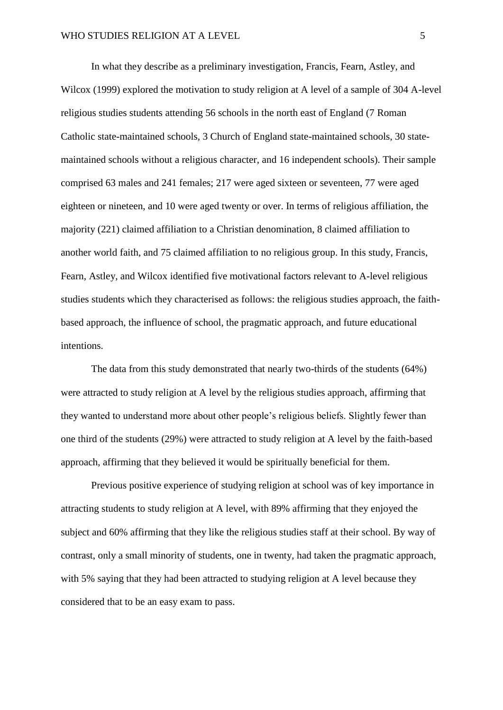In what they describe as a preliminary investigation, Francis, Fearn, Astley, and Wilcox (1999) explored the motivation to study religion at A level of a sample of 304 A-level religious studies students attending 56 schools in the north east of England (7 Roman Catholic state-maintained schools, 3 Church of England state-maintained schools, 30 statemaintained schools without a religious character, and 16 independent schools). Their sample comprised 63 males and 241 females; 217 were aged sixteen or seventeen, 77 were aged eighteen or nineteen, and 10 were aged twenty or over. In terms of religious affiliation, the majority (221) claimed affiliation to a Christian denomination, 8 claimed affiliation to another world faith, and 75 claimed affiliation to no religious group. In this study, Francis, Fearn, Astley, and Wilcox identified five motivational factors relevant to A-level religious studies students which they characterised as follows: the religious studies approach, the faithbased approach, the influence of school, the pragmatic approach, and future educational intentions.

The data from this study demonstrated that nearly two-thirds of the students (64%) were attracted to study religion at A level by the religious studies approach, affirming that they wanted to understand more about other people's religious beliefs. Slightly fewer than one third of the students (29%) were attracted to study religion at A level by the faith-based approach, affirming that they believed it would be spiritually beneficial for them.

Previous positive experience of studying religion at school was of key importance in attracting students to study religion at A level, with 89% affirming that they enjoyed the subject and 60% affirming that they like the religious studies staff at their school. By way of contrast, only a small minority of students, one in twenty, had taken the pragmatic approach, with 5% saying that they had been attracted to studying religion at A level because they considered that to be an easy exam to pass.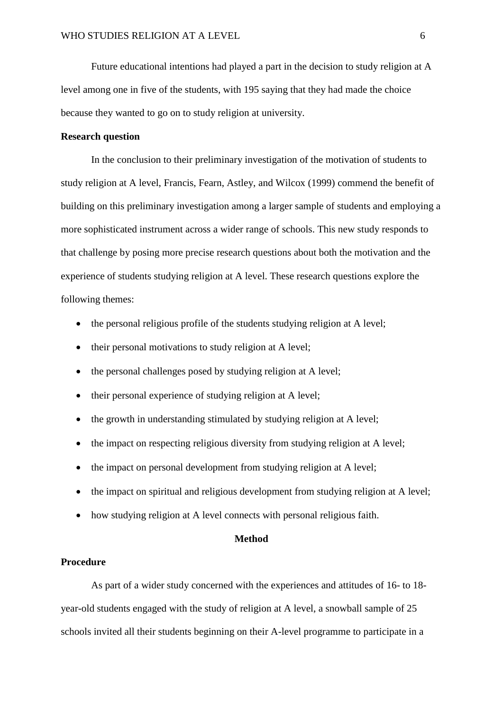Future educational intentions had played a part in the decision to study religion at A level among one in five of the students, with 195 saying that they had made the choice because they wanted to go on to study religion at university.

### **Research question**

In the conclusion to their preliminary investigation of the motivation of students to study religion at A level, Francis, Fearn, Astley, and Wilcox (1999) commend the benefit of building on this preliminary investigation among a larger sample of students and employing a more sophisticated instrument across a wider range of schools. This new study responds to that challenge by posing more precise research questions about both the motivation and the experience of students studying religion at A level. These research questions explore the following themes:

- the personal religious profile of the students studying religion at A level;
- their personal motivations to study religion at A level;
- the personal challenges posed by studying religion at A level;
- their personal experience of studying religion at A level;
- the growth in understanding stimulated by studying religion at A level;
- the impact on respecting religious diversity from studying religion at A level;
- the impact on personal development from studying religion at A level;
- the impact on spiritual and religious development from studying religion at A level;
- how studying religion at A level connects with personal religious faith.

#### **Method**

#### **Procedure**

As part of a wider study concerned with the experiences and attitudes of 16- to 18 year-old students engaged with the study of religion at A level, a snowball sample of 25 schools invited all their students beginning on their A-level programme to participate in a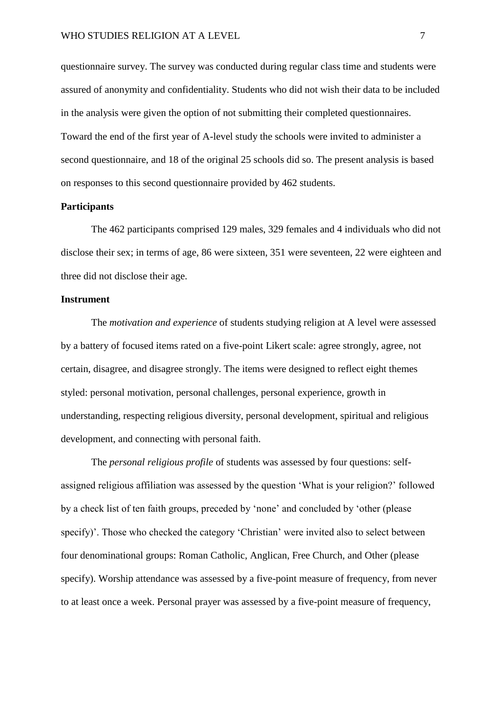questionnaire survey. The survey was conducted during regular class time and students were assured of anonymity and confidentiality. Students who did not wish their data to be included in the analysis were given the option of not submitting their completed questionnaires. Toward the end of the first year of A-level study the schools were invited to administer a second questionnaire, and 18 of the original 25 schools did so. The present analysis is based on responses to this second questionnaire provided by 462 students.

#### **Participants**

The 462 participants comprised 129 males, 329 females and 4 individuals who did not disclose their sex; in terms of age, 86 were sixteen, 351 were seventeen, 22 were eighteen and three did not disclose their age.

### **Instrument**

The *motivation and experience* of students studying religion at A level were assessed by a battery of focused items rated on a five-point Likert scale: agree strongly, agree, not certain, disagree, and disagree strongly. The items were designed to reflect eight themes styled: personal motivation, personal challenges, personal experience, growth in understanding, respecting religious diversity, personal development, spiritual and religious development, and connecting with personal faith.

The *personal religious profile* of students was assessed by four questions: selfassigned religious affiliation was assessed by the question 'What is your religion?' followed by a check list of ten faith groups, preceded by 'none' and concluded by 'other (please specify)'. Those who checked the category 'Christian' were invited also to select between four denominational groups: Roman Catholic, Anglican, Free Church, and Other (please specify). Worship attendance was assessed by a five-point measure of frequency, from never to at least once a week. Personal prayer was assessed by a five-point measure of frequency,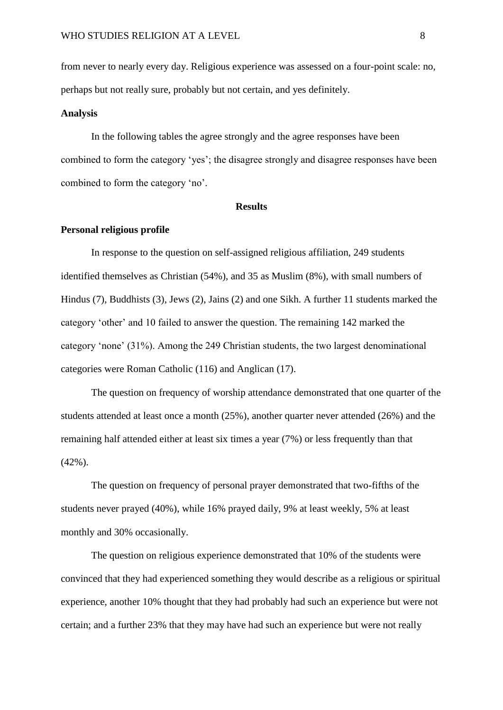from never to nearly every day. Religious experience was assessed on a four-point scale: no, perhaps but not really sure, probably but not certain, and yes definitely.

#### **Analysis**

In the following tables the agree strongly and the agree responses have been combined to form the category 'yes'; the disagree strongly and disagree responses have been combined to form the category 'no'.

#### **Results**

#### **Personal religious profile**

In response to the question on self-assigned religious affiliation, 249 students identified themselves as Christian (54%), and 35 as Muslim (8%), with small numbers of Hindus (7), Buddhists (3), Jews (2), Jains (2) and one Sikh. A further 11 students marked the category 'other' and 10 failed to answer the question. The remaining 142 marked the category 'none' (31%). Among the 249 Christian students, the two largest denominational categories were Roman Catholic (116) and Anglican (17).

The question on frequency of worship attendance demonstrated that one quarter of the students attended at least once a month (25%), another quarter never attended (26%) and the remaining half attended either at least six times a year (7%) or less frequently than that (42%).

The question on frequency of personal prayer demonstrated that two-fifths of the students never prayed (40%), while 16% prayed daily, 9% at least weekly, 5% at least monthly and 30% occasionally.

The question on religious experience demonstrated that 10% of the students were convinced that they had experienced something they would describe as a religious or spiritual experience, another 10% thought that they had probably had such an experience but were not certain; and a further 23% that they may have had such an experience but were not really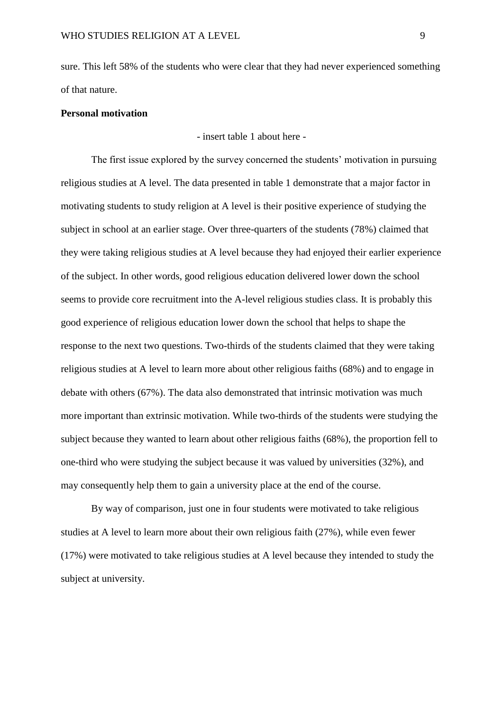sure. This left 58% of the students who were clear that they had never experienced something of that nature.

#### **Personal motivation**

- insert table 1 about here -

The first issue explored by the survey concerned the students' motivation in pursuing religious studies at A level. The data presented in table 1 demonstrate that a major factor in motivating students to study religion at A level is their positive experience of studying the subject in school at an earlier stage. Over three-quarters of the students (78%) claimed that they were taking religious studies at A level because they had enjoyed their earlier experience of the subject. In other words, good religious education delivered lower down the school seems to provide core recruitment into the A-level religious studies class. It is probably this good experience of religious education lower down the school that helps to shape the response to the next two questions. Two-thirds of the students claimed that they were taking religious studies at A level to learn more about other religious faiths (68%) and to engage in debate with others (67%). The data also demonstrated that intrinsic motivation was much more important than extrinsic motivation. While two-thirds of the students were studying the subject because they wanted to learn about other religious faiths (68%), the proportion fell to one-third who were studying the subject because it was valued by universities (32%), and may consequently help them to gain a university place at the end of the course.

By way of comparison, just one in four students were motivated to take religious studies at A level to learn more about their own religious faith (27%), while even fewer (17%) were motivated to take religious studies at A level because they intended to study the subject at university.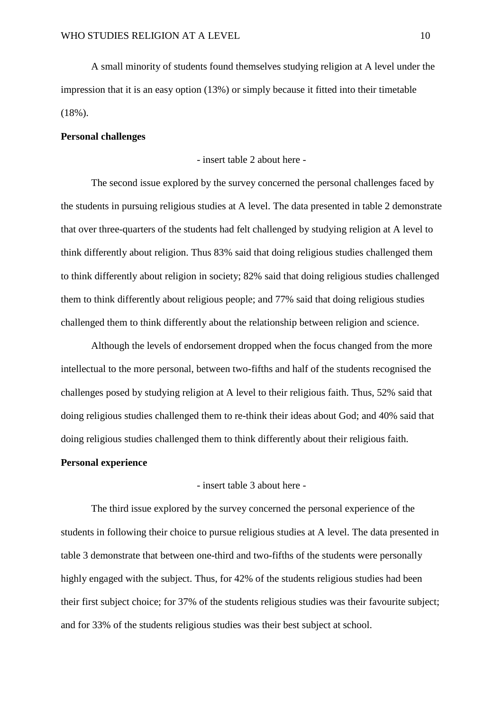A small minority of students found themselves studying religion at A level under the impression that it is an easy option (13%) or simply because it fitted into their timetable  $(18\%)$ .

### **Personal challenges**

- insert table 2 about here -

The second issue explored by the survey concerned the personal challenges faced by the students in pursuing religious studies at A level. The data presented in table 2 demonstrate that over three-quarters of the students had felt challenged by studying religion at A level to think differently about religion. Thus 83% said that doing religious studies challenged them to think differently about religion in society; 82% said that doing religious studies challenged them to think differently about religious people; and 77% said that doing religious studies challenged them to think differently about the relationship between religion and science.

Although the levels of endorsement dropped when the focus changed from the more intellectual to the more personal, between two-fifths and half of the students recognised the challenges posed by studying religion at A level to their religious faith. Thus, 52% said that doing religious studies challenged them to re-think their ideas about God; and 40% said that doing religious studies challenged them to think differently about their religious faith.

### **Personal experience**

- insert table 3 about here -

The third issue explored by the survey concerned the personal experience of the students in following their choice to pursue religious studies at A level. The data presented in table 3 demonstrate that between one-third and two-fifths of the students were personally highly engaged with the subject. Thus, for 42% of the students religious studies had been their first subject choice; for 37% of the students religious studies was their favourite subject; and for 33% of the students religious studies was their best subject at school.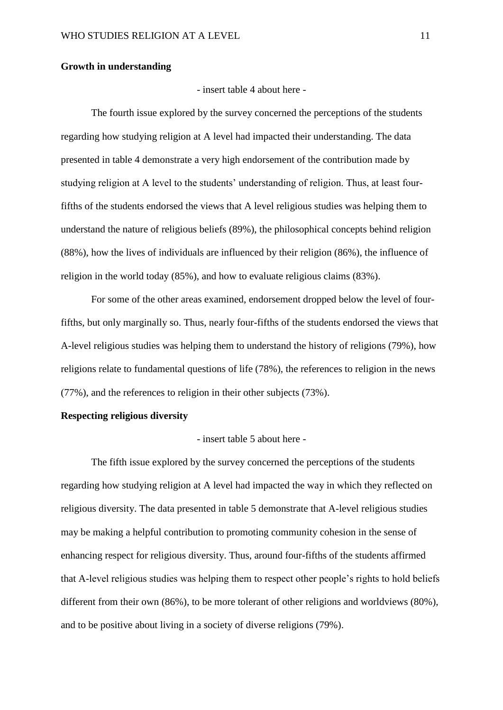#### **Growth in understanding**

- insert table 4 about here -

The fourth issue explored by the survey concerned the perceptions of the students regarding how studying religion at A level had impacted their understanding. The data presented in table 4 demonstrate a very high endorsement of the contribution made by studying religion at A level to the students' understanding of religion. Thus, at least fourfifths of the students endorsed the views that A level religious studies was helping them to understand the nature of religious beliefs (89%), the philosophical concepts behind religion (88%), how the lives of individuals are influenced by their religion (86%), the influence of religion in the world today (85%), and how to evaluate religious claims (83%).

For some of the other areas examined, endorsement dropped below the level of fourfifths, but only marginally so. Thus, nearly four-fifths of the students endorsed the views that A-level religious studies was helping them to understand the history of religions (79%), how religions relate to fundamental questions of life (78%), the references to religion in the news (77%), and the references to religion in their other subjects (73%).

### **Respecting religious diversity**

- insert table 5 about here -

The fifth issue explored by the survey concerned the perceptions of the students regarding how studying religion at A level had impacted the way in which they reflected on religious diversity. The data presented in table 5 demonstrate that A-level religious studies may be making a helpful contribution to promoting community cohesion in the sense of enhancing respect for religious diversity. Thus, around four-fifths of the students affirmed that A-level religious studies was helping them to respect other people's rights to hold beliefs different from their own (86%), to be more tolerant of other religions and worldviews (80%), and to be positive about living in a society of diverse religions (79%).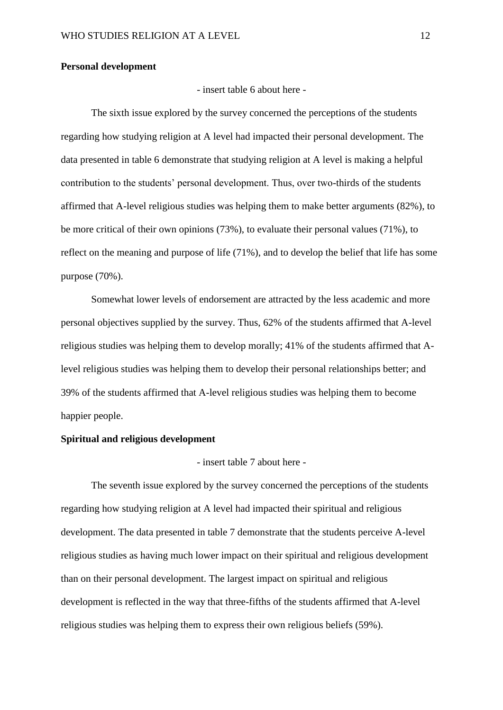#### **Personal development**

- insert table 6 about here -

The sixth issue explored by the survey concerned the perceptions of the students regarding how studying religion at A level had impacted their personal development. The data presented in table 6 demonstrate that studying religion at A level is making a helpful contribution to the students' personal development. Thus, over two-thirds of the students affirmed that A-level religious studies was helping them to make better arguments (82%), to be more critical of their own opinions (73%), to evaluate their personal values (71%), to reflect on the meaning and purpose of life (71%), and to develop the belief that life has some purpose (70%).

Somewhat lower levels of endorsement are attracted by the less academic and more personal objectives supplied by the survey. Thus, 62% of the students affirmed that A-level religious studies was helping them to develop morally; 41% of the students affirmed that Alevel religious studies was helping them to develop their personal relationships better; and 39% of the students affirmed that A-level religious studies was helping them to become happier people.

### **Spiritual and religious development**

- insert table 7 about here -

The seventh issue explored by the survey concerned the perceptions of the students regarding how studying religion at A level had impacted their spiritual and religious development. The data presented in table 7 demonstrate that the students perceive A-level religious studies as having much lower impact on their spiritual and religious development than on their personal development. The largest impact on spiritual and religious development is reflected in the way that three-fifths of the students affirmed that A-level religious studies was helping them to express their own religious beliefs (59%).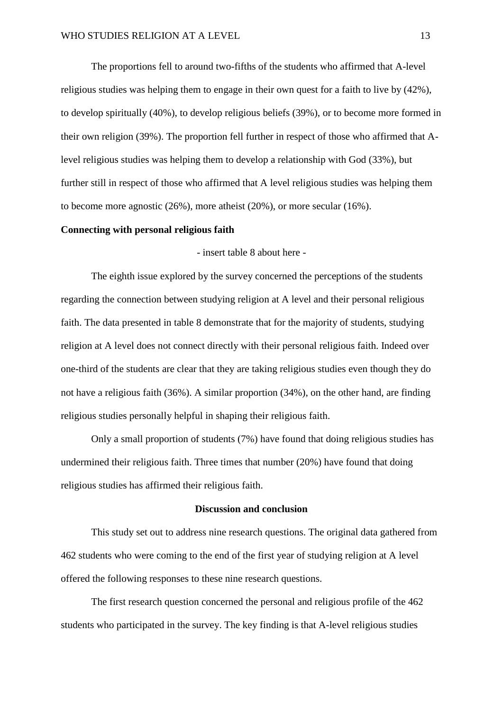The proportions fell to around two-fifths of the students who affirmed that A-level religious studies was helping them to engage in their own quest for a faith to live by (42%), to develop spiritually (40%), to develop religious beliefs (39%), or to become more formed in their own religion (39%). The proportion fell further in respect of those who affirmed that Alevel religious studies was helping them to develop a relationship with God (33%), but further still in respect of those who affirmed that A level religious studies was helping them to become more agnostic (26%), more atheist (20%), or more secular (16%).

#### **Connecting with personal religious faith**

- insert table 8 about here -

The eighth issue explored by the survey concerned the perceptions of the students regarding the connection between studying religion at A level and their personal religious faith. The data presented in table 8 demonstrate that for the majority of students, studying religion at A level does not connect directly with their personal religious faith. Indeed over one-third of the students are clear that they are taking religious studies even though they do not have a religious faith (36%). A similar proportion (34%), on the other hand, are finding religious studies personally helpful in shaping their religious faith.

Only a small proportion of students (7%) have found that doing religious studies has undermined their religious faith. Three times that number (20%) have found that doing religious studies has affirmed their religious faith.

#### **Discussion and conclusion**

This study set out to address nine research questions. The original data gathered from 462 students who were coming to the end of the first year of studying religion at A level offered the following responses to these nine research questions.

The first research question concerned the personal and religious profile of the 462 students who participated in the survey. The key finding is that A-level religious studies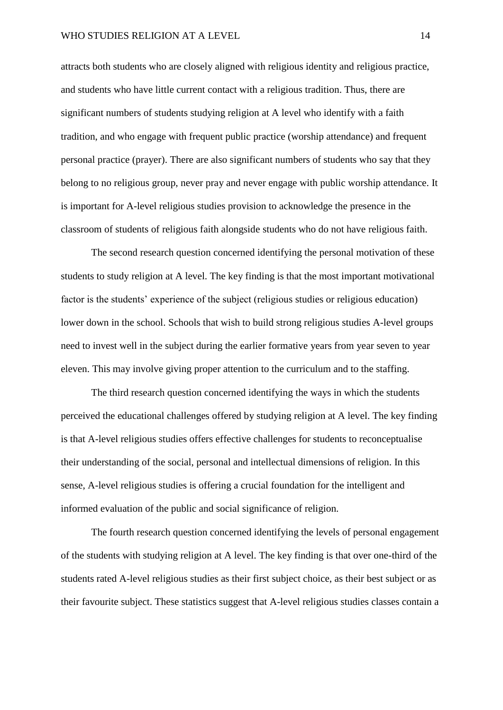attracts both students who are closely aligned with religious identity and religious practice, and students who have little current contact with a religious tradition. Thus, there are significant numbers of students studying religion at A level who identify with a faith tradition, and who engage with frequent public practice (worship attendance) and frequent personal practice (prayer). There are also significant numbers of students who say that they belong to no religious group, never pray and never engage with public worship attendance. It is important for A-level religious studies provision to acknowledge the presence in the classroom of students of religious faith alongside students who do not have religious faith.

The second research question concerned identifying the personal motivation of these students to study religion at A level. The key finding is that the most important motivational factor is the students' experience of the subject (religious studies or religious education) lower down in the school. Schools that wish to build strong religious studies A-level groups need to invest well in the subject during the earlier formative years from year seven to year eleven. This may involve giving proper attention to the curriculum and to the staffing.

The third research question concerned identifying the ways in which the students perceived the educational challenges offered by studying religion at A level. The key finding is that A-level religious studies offers effective challenges for students to reconceptualise their understanding of the social, personal and intellectual dimensions of religion. In this sense, A-level religious studies is offering a crucial foundation for the intelligent and informed evaluation of the public and social significance of religion.

The fourth research question concerned identifying the levels of personal engagement of the students with studying religion at A level. The key finding is that over one-third of the students rated A-level religious studies as their first subject choice, as their best subject or as their favourite subject. These statistics suggest that A-level religious studies classes contain a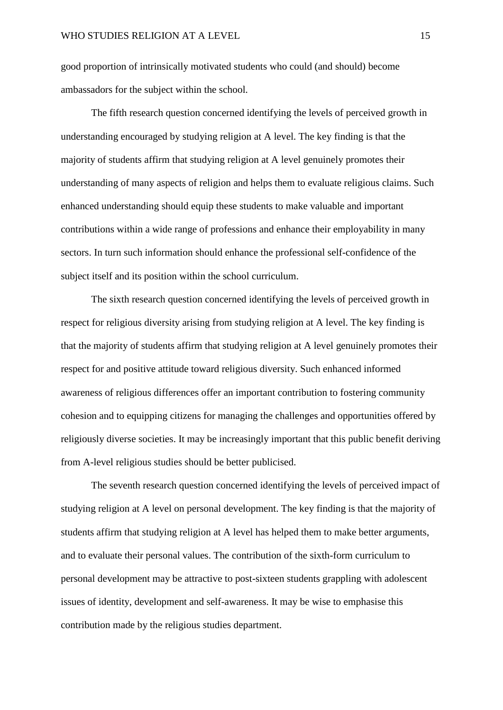good proportion of intrinsically motivated students who could (and should) become ambassadors for the subject within the school.

The fifth research question concerned identifying the levels of perceived growth in understanding encouraged by studying religion at A level. The key finding is that the majority of students affirm that studying religion at A level genuinely promotes their understanding of many aspects of religion and helps them to evaluate religious claims. Such enhanced understanding should equip these students to make valuable and important contributions within a wide range of professions and enhance their employability in many sectors. In turn such information should enhance the professional self-confidence of the subject itself and its position within the school curriculum.

The sixth research question concerned identifying the levels of perceived growth in respect for religious diversity arising from studying religion at A level. The key finding is that the majority of students affirm that studying religion at A level genuinely promotes their respect for and positive attitude toward religious diversity. Such enhanced informed awareness of religious differences offer an important contribution to fostering community cohesion and to equipping citizens for managing the challenges and opportunities offered by religiously diverse societies. It may be increasingly important that this public benefit deriving from A-level religious studies should be better publicised.

The seventh research question concerned identifying the levels of perceived impact of studying religion at A level on personal development. The key finding is that the majority of students affirm that studying religion at A level has helped them to make better arguments, and to evaluate their personal values. The contribution of the sixth-form curriculum to personal development may be attractive to post-sixteen students grappling with adolescent issues of identity, development and self-awareness. It may be wise to emphasise this contribution made by the religious studies department.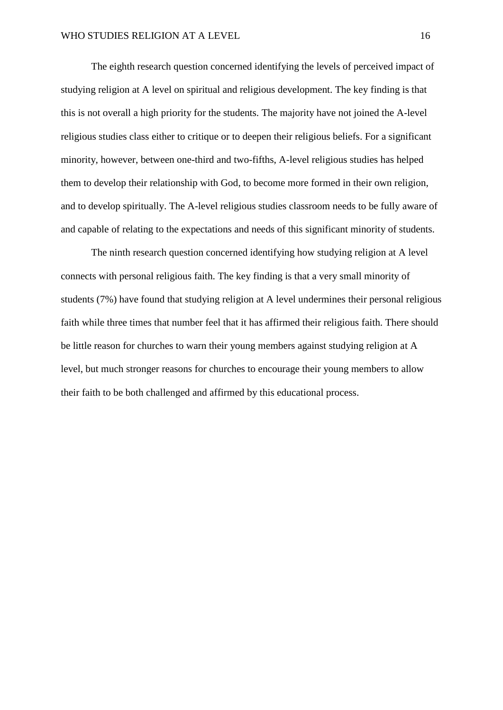The eighth research question concerned identifying the levels of perceived impact of studying religion at A level on spiritual and religious development. The key finding is that this is not overall a high priority for the students. The majority have not joined the A-level religious studies class either to critique or to deepen their religious beliefs. For a significant minority, however, between one-third and two-fifths, A-level religious studies has helped them to develop their relationship with God, to become more formed in their own religion, and to develop spiritually. The A-level religious studies classroom needs to be fully aware of and capable of relating to the expectations and needs of this significant minority of students.

The ninth research question concerned identifying how studying religion at A level connects with personal religious faith. The key finding is that a very small minority of students (7%) have found that studying religion at A level undermines their personal religious faith while three times that number feel that it has affirmed their religious faith. There should be little reason for churches to warn their young members against studying religion at A level, but much stronger reasons for churches to encourage their young members to allow their faith to be both challenged and affirmed by this educational process.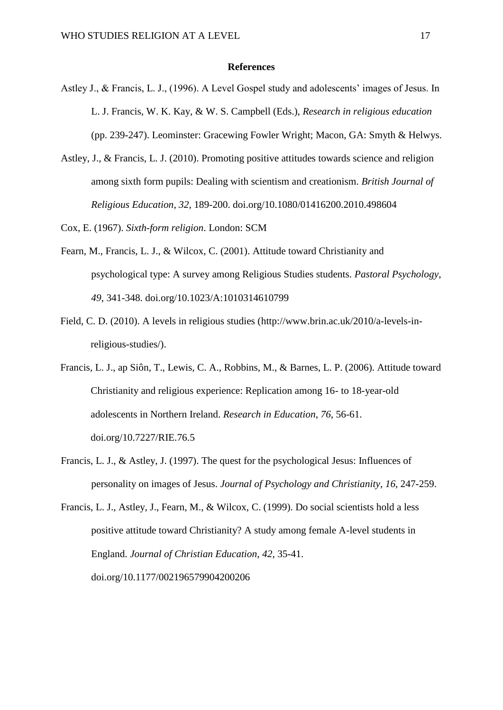#### **References**

- Astley J., & Francis, L. J., (1996). A Level Gospel study and adolescents' images of Jesus. In L. J. Francis, W. K. Kay, & W. S. Campbell (Eds.), *Research in religious education* (pp. 239-247). Leominster: Gracewing Fowler Wright; Macon, GA: Smyth & Helwys.
- Astley, J., & Francis, L. J. (2010). Promoting positive attitudes towards science and religion among sixth form pupils: Dealing with scientism and creationism. *British Journal of Religious Education*, *32*, 189-200. doi.org/10.1080/01416200.2010.498604

Cox, E. (1967). *Sixth-form religion*. London: SCM

- Fearn, M., Francis, L. J., & Wilcox, C. (2001). Attitude toward Christianity and psychological type: A survey among Religious Studies students. *Pastoral Psychology*, *49*, 341-348. doi.org/10.1023/A:1010314610799
- Field, C. D. (2010). A levels in religious studies (http://www.brin.ac.uk/2010/a-levels-inreligious-studies/).
- Francis, L. J., ap Siôn, T., Lewis, C. A., Robbins, M., & Barnes, L. P. (2006). Attitude toward Christianity and religious experience: Replication among 16- to 18-year-old adolescents in Northern Ireland. *Research in Education*, *76*, 56-61. doi.org/10.7227/RIE.76.5
- Francis, L. J., & Astley, J. (1997). The quest for the psychological Jesus: Influences of personality on images of Jesus. *Journal of Psychology and Christianity*, *16*, 247-259.
- Francis, L. J., Astley, J., Fearn, M., & Wilcox, C. (1999). Do social scientists hold a less positive attitude toward Christianity? A study among female A-level students in England. *Journal of Christian Education*, *42*, 35-41. doi.org/10.1177/002196579904200206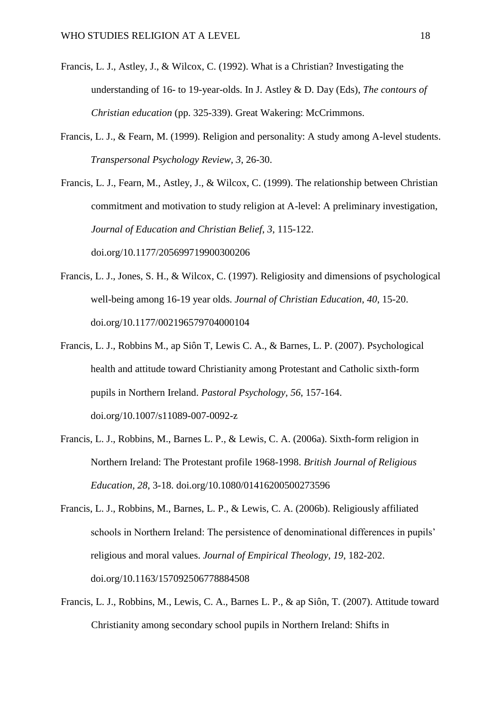- Francis, L. J., Astley, J., & Wilcox, C. (1992). What is a Christian? Investigating the understanding of 16- to 19-year-olds. In J. Astley & D. Day (Eds), *The contours of Christian education* (pp. 325-339). Great Wakering: McCrimmons.
- Francis, L. J., & Fearn, M. (1999). Religion and personality: A study among A-level students. *Transpersonal Psychology Review, 3*, 26-30.
- Francis, L. J., Fearn, M., Astley, J., & Wilcox, C. (1999). The relationship between Christian commitment and motivation to study religion at A-level: A preliminary investigation, *Journal of Education and Christian Belief*, *3*, 115-122. doi.org/10.1177/205699719900300206
- Francis, L. J., Jones, S. H., & Wilcox, C. (1997). Religiosity and dimensions of psychological well-being among 16-19 year olds. *Journal of Christian Education*, *40*, 15-20. doi.org/10.1177/002196579704000104
- Francis, L. J., Robbins M., ap Siôn T, Lewis C. A., & Barnes, L. P. (2007). Psychological health and attitude toward Christianity among Protestant and Catholic sixth-form pupils in Northern Ireland. *Pastoral Psychology, 56*, 157-164. doi.org/10.1007/s11089-007-0092-z
- Francis, L. J., Robbins, M., Barnes L. P., & Lewis, C. A. (2006a). Sixth-form religion in Northern Ireland: The Protestant profile 1968-1998. *British Journal of Religious Education, 28*, 3-18. doi.org/10.1080/01416200500273596
- Francis, L. J., Robbins, M., Barnes, L. P., & Lewis, C. A. (2006b). Religiously affiliated schools in Northern Ireland: The persistence of denominational differences in pupils' religious and moral values. *Journal of Empirical Theology, 19*, 182-202. doi.org/10.1163/157092506778884508
- Francis, L. J., Robbins, M., Lewis, C. A., Barnes L. P., & ap Siôn, T. (2007). Attitude toward Christianity among secondary school pupils in Northern Ireland: Shifts in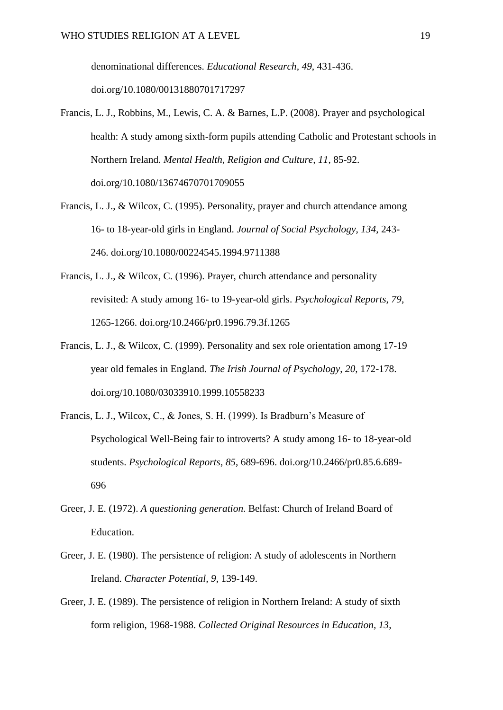denominational differences. *Educational Research, 49*, 431-436. doi.org/10.1080/00131880701717297

- Francis, L. J., Robbins, M., Lewis, C. A. & Barnes, L.P. (2008). Prayer and psychological health: A study among sixth-form pupils attending Catholic and Protestant schools in Northern Ireland. *Mental Health, Religion and Culture, 11*, 85-92. doi.org/10.1080/13674670701709055
- Francis, L. J., & Wilcox, C. (1995). Personality, prayer and church attendance among 16- to 18-year-old girls in England. *Journal of Social Psychology*, *134*, 243- 246. doi.org/10.1080/00224545.1994.9711388
- Francis, L. J., & Wilcox, C. (1996). Prayer, church attendance and personality revisited: A study among 16- to 19-year-old girls. *Psychological Reports*, *79*, 1265-1266. doi.org/10.2466/pr0.1996.79.3f.1265
- Francis, L. J., & Wilcox, C. (1999). Personality and sex role orientation among 17-19 year old females in England. *The Irish Journal of Psychology*, *20*, 172-178. doi.org/10.1080/03033910.1999.10558233
- Francis, L. J., Wilcox, C., & Jones, S. H. (1999). Is Bradburn's Measure of Psychological Well-Being fair to introverts? A study among 16- to 18-year-old students. *Psychological Reports*, *85*, 689-696. doi.org/10.2466/pr0.85.6.689- 696
- Greer, J. E. (1972). *A questioning generation*. Belfast: Church of Ireland Board of Education.
- Greer, J. E. (1980). The persistence of religion: A study of adolescents in Northern Ireland. *Character Potential, 9*, 139-149.
- Greer, J. E. (1989). The persistence of religion in Northern Ireland: A study of sixth form religion, 1968-1988. *Collected Original Resources in Education, 13*,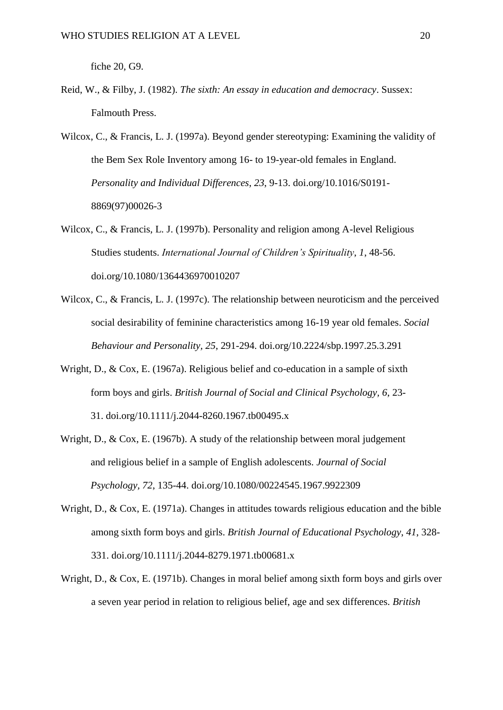fiche 20, G9.

Reid, W., & Filby, J. (1982). *The sixth: An essay in education and democracy*. Sussex: Falmouth Press.

Wilcox, C., & Francis, L. J. (1997a). Beyond gender stereotyping: Examining the validity of the Bem Sex Role Inventory among 16- to 19-year-old females in England. *Personality and Individual Differences*, *23*, 9-13. doi.org/10.1016/S0191- 8869(97)00026-3

- Wilcox, C., & Francis, L. J. (1997b). Personality and religion among A-level Religious Studies students. *International Journal of Children's Spirituality*, *1*, 48-56. doi.org/10.1080/1364436970010207
- Wilcox, C., & Francis, L. J. (1997c). The relationship between neuroticism and the perceived social desirability of feminine characteristics among 16-19 year old females. *Social Behaviour and Personality, 25*, 291-294. doi.org/10.2224/sbp.1997.25.3.291
- Wright, D., & Cox, E. (1967a). Religious belief and co-education in a sample of sixth form boys and girls. *British Journal of Social and Clinical Psychology, 6*, 23- 31. doi.org/10.1111/j.2044-8260.1967.tb00495.x
- Wright, D., & Cox, E. (1967b). A study of the relationship between moral judgement and religious belief in a sample of English adolescents. *Journal of Social Psychology, 72*, 135-44. doi.org/10.1080/00224545.1967.9922309
- Wright, D., & Cox, E. (1971a). Changes in attitudes towards religious education and the bible among sixth form boys and girls. *British Journal of Educational Psychology*, *41*, 328- 331. doi.org/10.1111/j.2044-8279.1971.tb00681.x
- Wright, D., & Cox, E. (1971b). Changes in moral belief among sixth form boys and girls over a seven year period in relation to religious belief, age and sex differences. *British*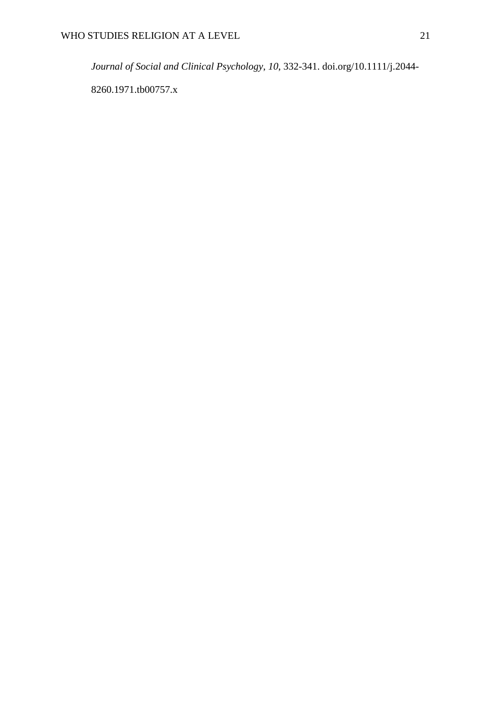*Journal of Social and Clinical Psychology*, *10*, 332-341. doi.org/10.1111/j.2044-

8260.1971.tb00757.x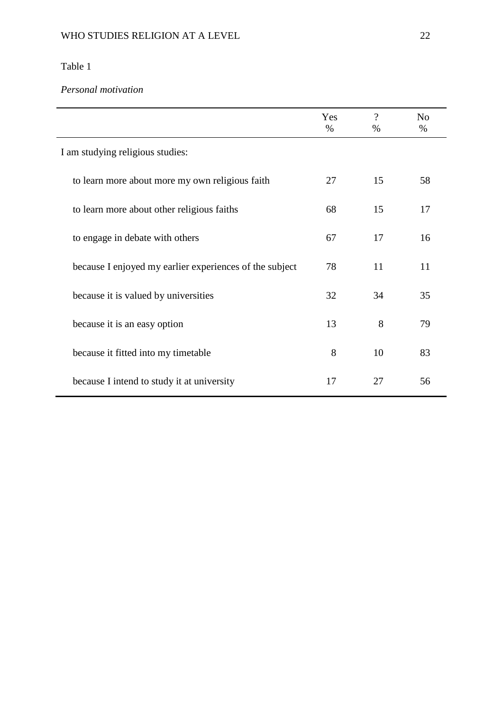*Personal motivation*

|                                                         | Yes<br>$\%$ | $\overline{\cdot}$<br>$\%$ | N <sub>o</sub><br>$\%$ |
|---------------------------------------------------------|-------------|----------------------------|------------------------|
| I am studying religious studies:                        |             |                            |                        |
| to learn more about more my own religious faith         | 27          | 15                         | 58                     |
| to learn more about other religious faiths              | 68          | 15                         | 17                     |
| to engage in debate with others                         | 67          | 17                         | 16                     |
| because I enjoyed my earlier experiences of the subject | 78          | 11                         | 11                     |
| because it is valued by universities                    | 32          | 34                         | 35                     |
| because it is an easy option                            | 13          | 8                          | 79                     |
| because it fitted into my timetable                     | 8           | 10                         | 83                     |
| because I intend to study it at university              | 17          | 27                         | 56                     |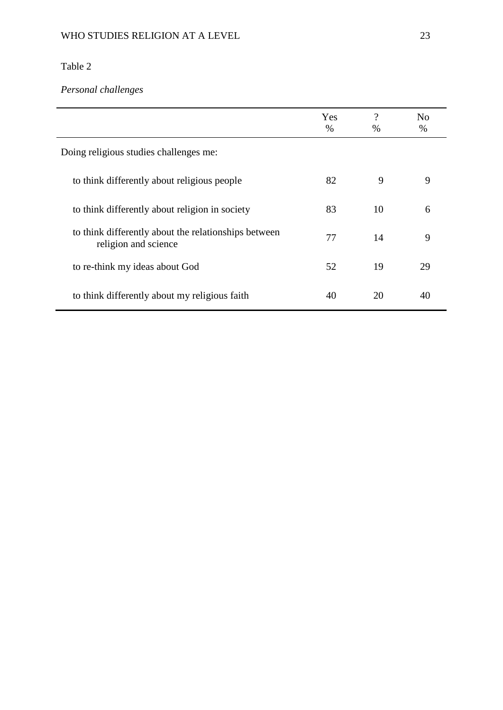# *Personal challenges*

|                                                                              | Yes<br>$\%$ | ?<br>$\%$ | No<br>$\%$ |
|------------------------------------------------------------------------------|-------------|-----------|------------|
| Doing religious studies challenges me:                                       |             |           |            |
| to think differently about religious people                                  | 82          | 9         | 9          |
| to think differently about religion in society                               | 83          | 10        | 6          |
| to think differently about the relationships between<br>religion and science | 77          | 14        | 9          |
| to re-think my ideas about God                                               | 52          | 19        | 29         |
| to think differently about my religious faith                                | 40          | 20        | 40         |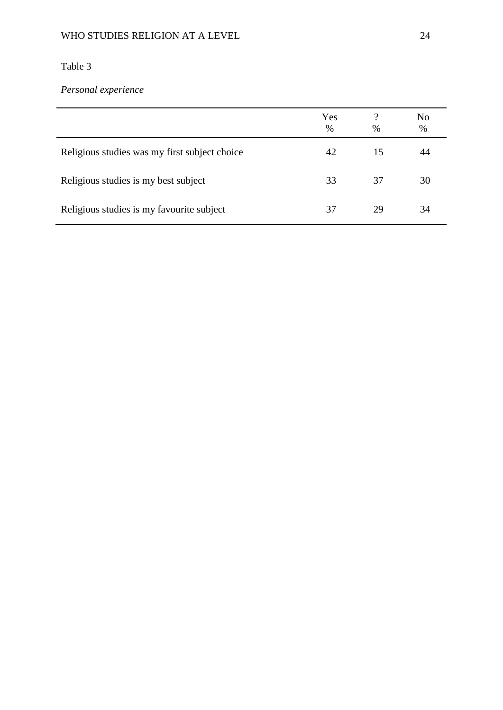## WHO STUDIES RELIGION AT A LEVEL 24

## Table 3

# *Personal experience*

|                                               | Yes<br>$\%$ | $\%$ | No<br>$\%$ |
|-----------------------------------------------|-------------|------|------------|
| Religious studies was my first subject choice | 42          | 15   | 44         |
| Religious studies is my best subject          | 33          | 37   | 30         |
| Religious studies is my favourite subject     | 37          | 29   | 34         |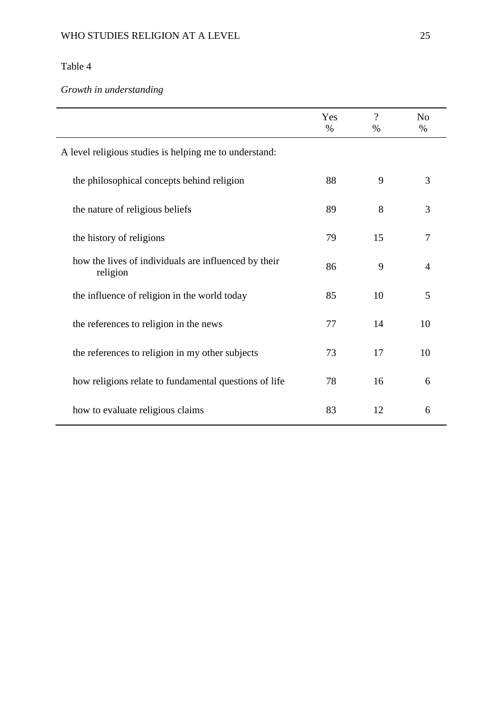# *Growth in understanding*

|                                                                  | Yes<br>$\%$ | $\overline{\mathcal{L}}$<br>% | N <sub>o</sub><br>$\%$ |
|------------------------------------------------------------------|-------------|-------------------------------|------------------------|
| A level religious studies is helping me to understand:           |             |                               |                        |
| the philosophical concepts behind religion                       | 88          | 9                             | 3                      |
| the nature of religious beliefs                                  | 89          | 8                             | 3                      |
| the history of religions                                         | 79          | 15                            | 7                      |
| how the lives of individuals are influenced by their<br>religion | 86          | 9                             | $\overline{4}$         |
| the influence of religion in the world today                     | 85          | 10                            | 5                      |
| the references to religion in the news                           | 77          | 14                            | 10                     |
| the references to religion in my other subjects                  | 73          | 17                            | 10                     |
| how religions relate to fundamental questions of life            | 78          | 16                            | 6                      |
| how to evaluate religious claims                                 | 83          | 12                            | 6                      |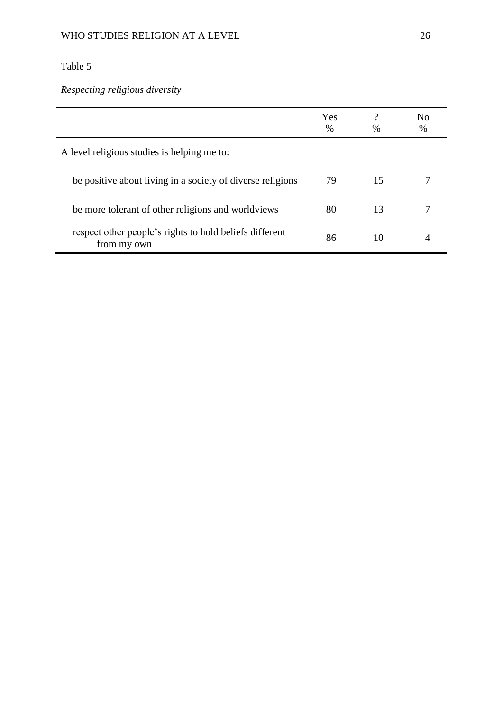*Respecting religious diversity*

|                                                                        | Yes<br>$\frac{0}{0}$ | າ<br>$\%$ | No<br>% |
|------------------------------------------------------------------------|----------------------|-----------|---------|
| A level religious studies is helping me to:                            |                      |           |         |
| be positive about living in a society of diverse religions             | 79                   | 15        |         |
| be more tolerant of other religions and worldviews                     | 80                   | 13        |         |
| respect other people's rights to hold beliefs different<br>from my own | 86                   | 10        |         |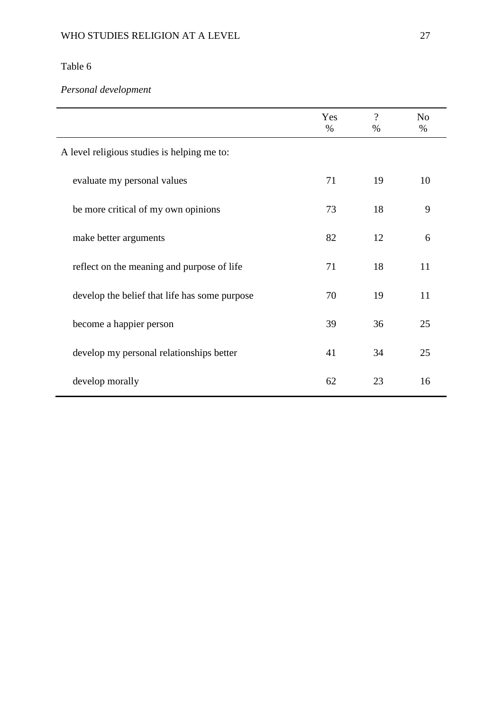# *Personal development*

|                                               | Yes<br>$\%$ | $\gamma$<br>$\%$ | N <sub>o</sub><br>% |
|-----------------------------------------------|-------------|------------------|---------------------|
| A level religious studies is helping me to:   |             |                  |                     |
| evaluate my personal values                   | 71          | 19               | 10                  |
| be more critical of my own opinions           | 73          | 18               | 9                   |
| make better arguments                         | 82          | 12               | 6                   |
| reflect on the meaning and purpose of life    | 71          | 18               | 11                  |
| develop the belief that life has some purpose | 70          | 19               | 11                  |
| become a happier person                       | 39          | 36               | 25                  |
| develop my personal relationships better      | 41          | 34               | 25                  |
| develop morally                               | 62          | 23               | 16                  |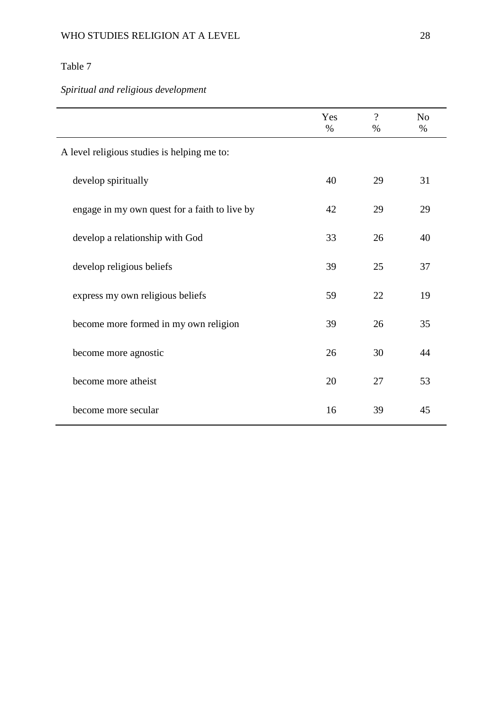# *Spiritual and religious development*

|                                               | Yes<br>$\%$ | $\gamma$<br>$\%$ | N <sub>o</sub><br>$\%$ |
|-----------------------------------------------|-------------|------------------|------------------------|
| A level religious studies is helping me to:   |             |                  |                        |
| develop spiritually                           | 40          | 29               | 31                     |
| engage in my own quest for a faith to live by | 42          | 29               | 29                     |
| develop a relationship with God               | 33          | 26               | 40                     |
| develop religious beliefs                     | 39          | 25               | 37                     |
| express my own religious beliefs              | 59          | 22               | 19                     |
| become more formed in my own religion         | 39          | 26               | 35                     |
| become more agnostic                          | 26          | 30               | 44                     |
| become more atheist                           | 20          | 27               | 53                     |
| become more secular                           | 16          | 39               | 45                     |